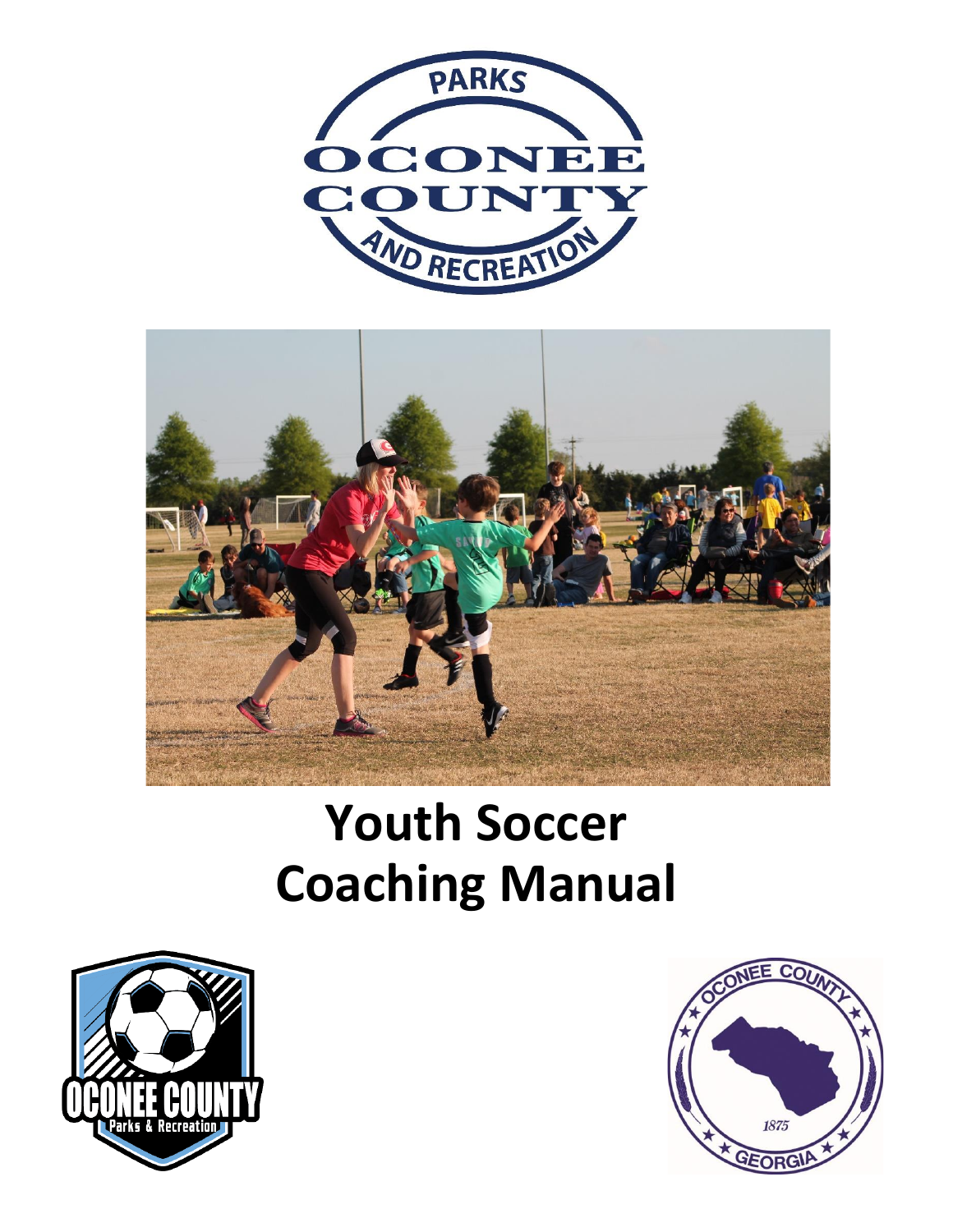



# **Youth Soccer Coaching Manual**



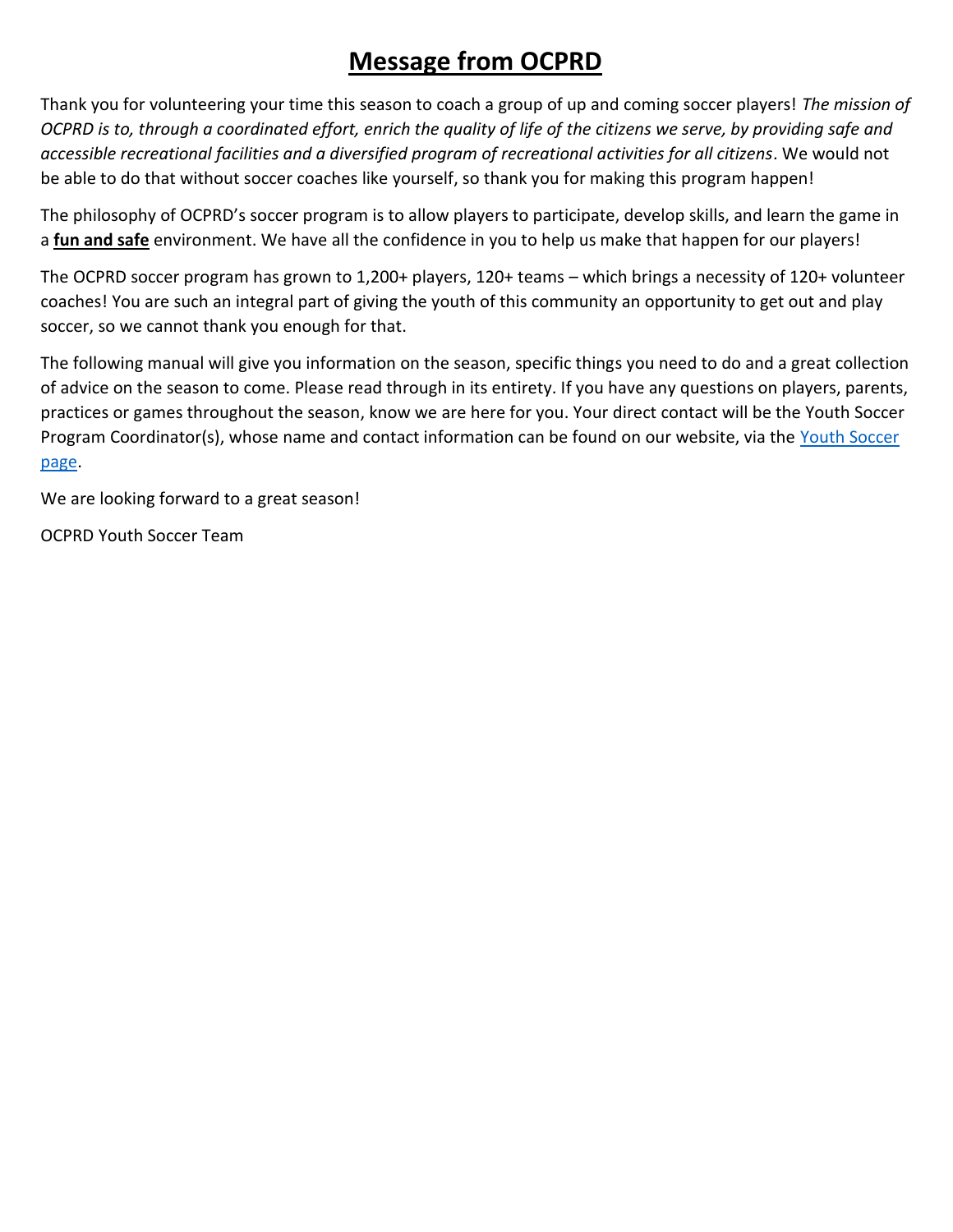# **Message from OCPRD**

Thank you for volunteering your time this season to coach a group of up and coming soccer players! *The mission of OCPRD is to, through a coordinated effort, enrich the quality of life of the citizens we serve, by providing safe and accessible recreational facilities and a diversified program of recreational activities for all citizens*. We would not be able to do that without soccer coaches like yourself, so thank you for making this program happen!

The philosophy of OCPRD's soccer program is to allow players to participate, develop skills, and learn the game in a **fun and safe** environment. We have all the confidence in you to help us make that happen for our players!

The OCPRD soccer program has grown to 1,200+ players, 120+ teams – which brings a necessity of 120+ volunteer coaches! You are such an integral part of giving the youth of this community an opportunity to get out and play soccer, so we cannot thank you enough for that.

The following manual will give you information on the season, specific things you need to do and a great collection of advice on the season to come. Please read through in its entirety. If you have any questions on players, parents, practices or games throughout the season, know we are here for you. Your direct contact will be the Youth Soccer Program Coordinator(s), whose name and contact information can be found on our website, via the Youth Soccer [page.](https://www.oconeecounty.com/402/Youth-Athletics)

We are looking forward to a great season!

OCPRD Youth Soccer Team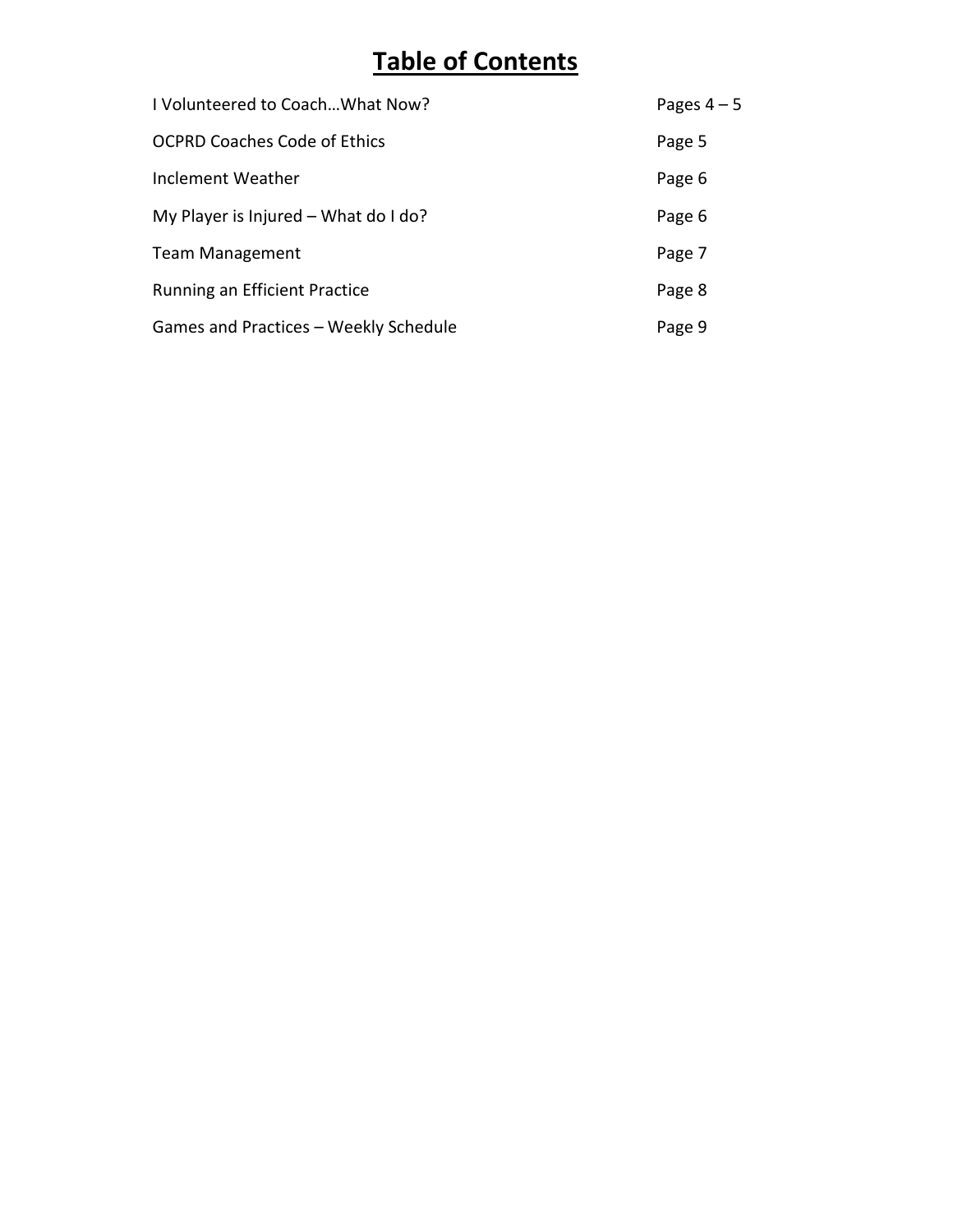# **Table of Contents**

| I Volunteered to Coach What Now?       | Pages $4-5$ |
|----------------------------------------|-------------|
| <b>OCPRD Coaches Code of Ethics</b>    | Page 5      |
| Inclement Weather                      | Page 6      |
| My Player is Injured $-$ What do I do? | Page 6      |
| <b>Team Management</b>                 | Page 7      |
| <b>Running an Efficient Practice</b>   | Page 8      |
| Games and Practices - Weekly Schedule  | Page 9      |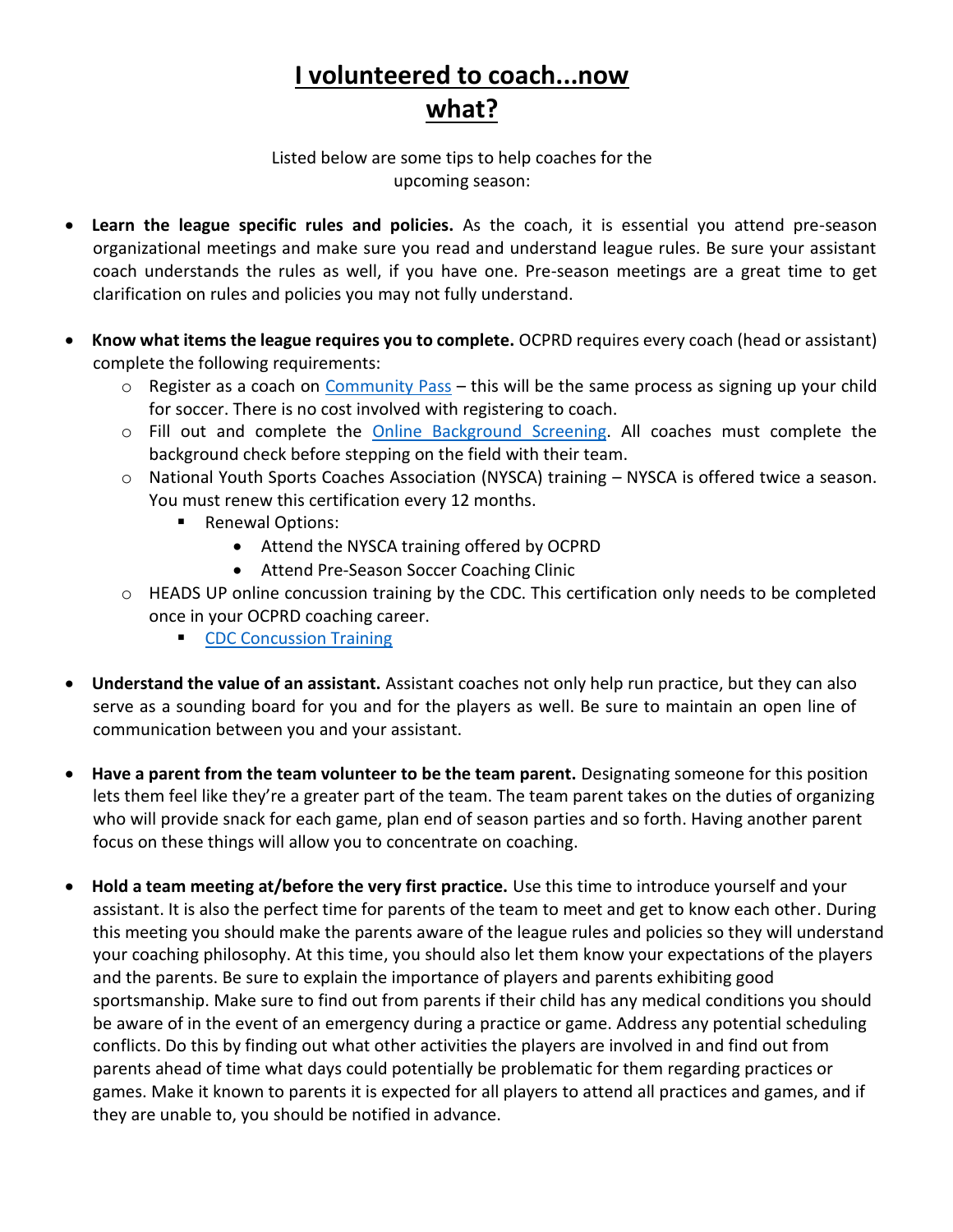# **I volunteered to coach...now what?**

Listed below are some tips to help coaches for the upcoming season:

- **Learn the league specific rules and policies.** As the coach, it is essential you attend pre-season organizational meetings and make sure you read and understand league rules. Be sure your assistant coach understands the rules as well, if you have one. Pre-season meetings are a great time to get clarification on rules and policies you may not fully understand.
- **Know what items the league requires you to complete.** OCPRD requires every coach (head or assistant) complete the following requirements:
	- $\circ$  Register as a coach on [Community Pass](https://register.communitypass.net/reg/login.cfm?cuBOA%2FXU0p4trnasCJNBkrfRqBdRAsM1ugTdgJwcwqnC3YUEwtm0ub%2F%2FJA%3D%3D) this will be the same process as signing up your child for soccer. There is no cost involved with registering to coach.
	- o Fill out and complete the [Online Background Screening.](https://oconeecountygaparksandrec.quickapp.pro/apply/applicant/new/16545?_ref=qap_session_d69a9db9ce1d2ccfc99854971febf164a76c0117b7f70e4743752cdb8c1fa1f5) All coaches must complete the background check before stepping on the field with their team.
	- o National Youth Sports Coaches Association (NYSCA) training NYSCA is offered twice a season. You must renew this certification every 12 months.
		- Renewal Options:
			- Attend the NYSCA training offered by OCPRD
			- Attend Pre-Season Soccer Coaching Clinic
	- o HEADS UP online concussion training by the CDC. This certification only needs to be completed once in your OCPRD coaching career.
		- [CDC Concussion Training](https://www.train.org/cdctrain/course/1089818/)
- **Understand the value of an assistant.** Assistant coaches not only help run practice, but they can also serve as a sounding board for you and for the players as well. Be sure to maintain an open line of communication between you and your assistant.
- **Have a parent from the team volunteer to be the team parent.** Designating someone for this position lets them feel like they're a greater part of the team. The team parent takes on the duties of organizing who will provide snack for each game, plan end of season parties and so forth. Having another parent focus on these things will allow you to concentrate on coaching.
- **Hold a team meeting at/before the very first practice.** Use this time to introduce yourself and your assistant. It is also the perfect time for parents of the team to meet and get to know each other. During this meeting you should make the parents aware of the league rules and policies so they will understand your coaching philosophy. At this time, you should also let them know your expectations of the players and the parents. Be sure to explain the importance of players and parents exhibiting good sportsmanship. Make sure to find out from parents if their child has any medical conditions you should be aware of in the event of an emergency during a practice or game. Address any potential scheduling conflicts. Do this by finding out what other activities the players are involved in and find out from parents ahead of time what days could potentially be problematic for them regarding practices or games. Make it known to parents it is expected for all players to attend all practices and games, and if they are unable to, you should be notified in advance.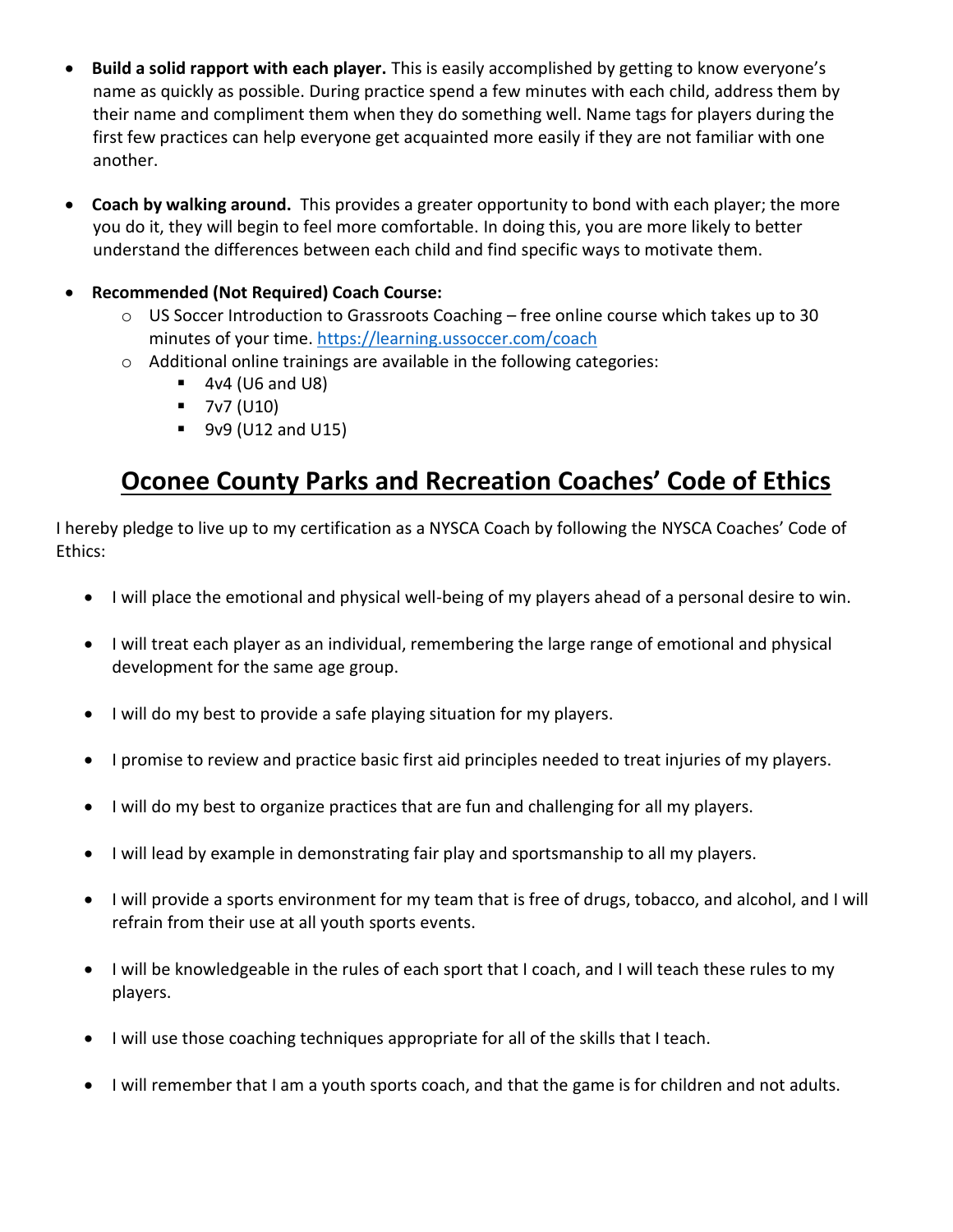- **Build a solid rapport with each player.** This is easily accomplished by getting to know everyone's name as quickly as possible. During practice spend a few minutes with each child, address them by their name and compliment them when they do something well. Name tags for players during the first few practices can help everyone get acquainted more easily if they are not familiar with one another.
- **Coach by walking around.** This provides a greater opportunity to bond with each player; the more you do it, they will begin to feel more comfortable. In doing this, you are more likely to better understand the differences between each child and find specific ways to motivate them.

#### • **Recommended (Not Required) Coach Course:**

- $\circ$  US Soccer Introduction to Grassroots Coaching free online course which takes up to 30 minutes of your time.<https://learning.ussoccer.com/coach>
- o Additional online trainings are available in the following categories:
	- $\blacksquare$  4v4 (U6 and U8)
	- 7v7 (U10)
	- 9v9 (U12 and U15)

# **Oconee County Parks and Recreation Coaches' Code of Ethics**

I hereby pledge to live up to my certification as a NYSCA Coach by following the NYSCA Coaches' Code of Ethics:

- I will place the emotional and physical well-being of my players ahead of a personal desire to win.
- I will treat each player as an individual, remembering the large range of emotional and physical development for the same age group.
- I will do my best to provide a safe playing situation for my players.
- I promise to review and practice basic first aid principles needed to treat injuries of my players.
- I will do my best to organize practices that are fun and challenging for all my players.
- I will lead by example in demonstrating fair play and sportsmanship to all my players.
- I will provide a sports environment for my team that is free of drugs, tobacco, and alcohol, and I will refrain from their use at all youth sports events.
- I will be knowledgeable in the rules of each sport that I coach, and I will teach these rules to my players.
- I will use those coaching techniques appropriate for all of the skills that I teach.
- I will remember that I am a youth sports coach, and that the game is for children and not adults.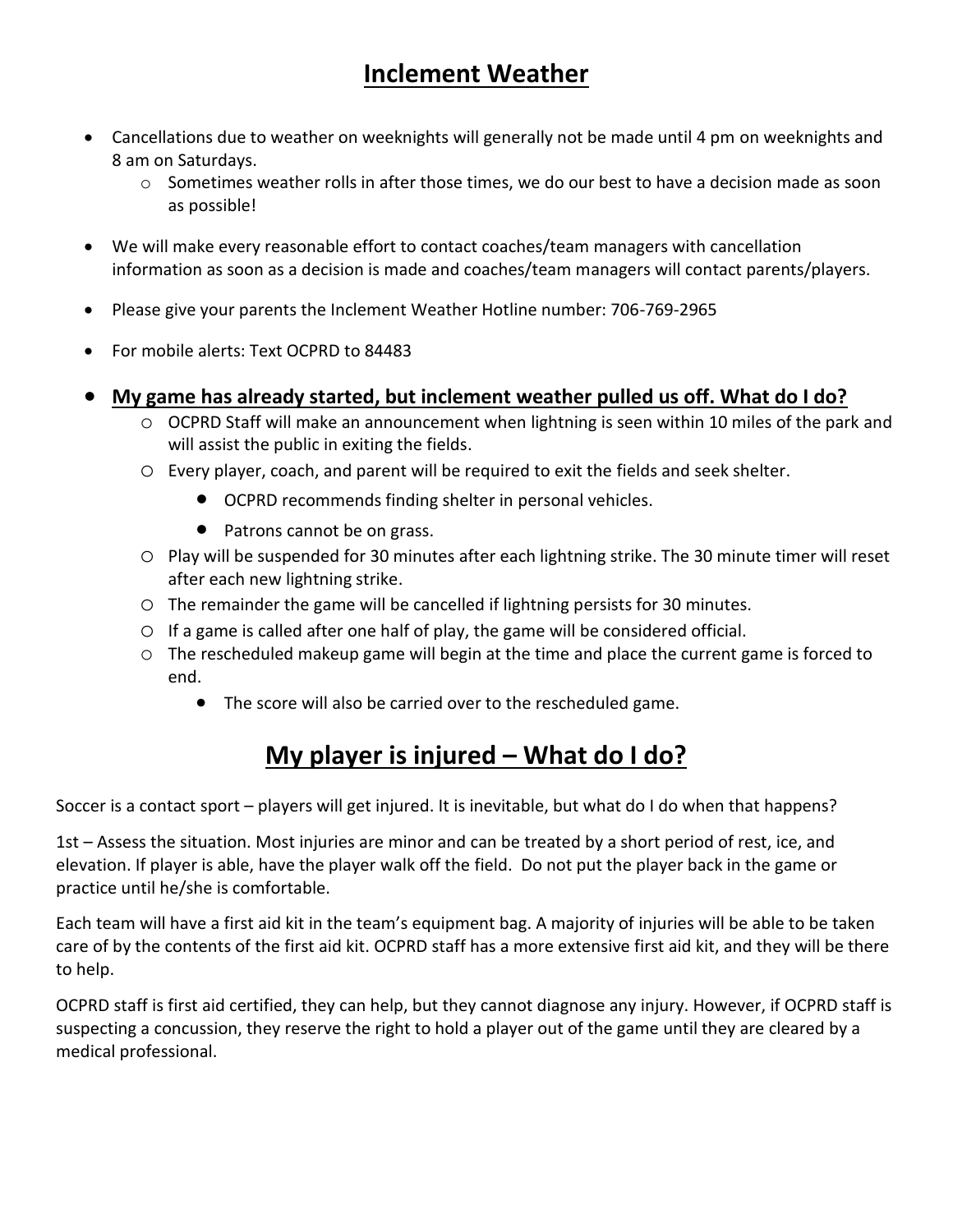# **Inclement Weather**

- Cancellations due to weather on weeknights will generally not be made until 4 pm on weeknights and 8 am on Saturdays.
	- $\circ$  Sometimes weather rolls in after those times, we do our best to have a decision made as soon as possible!
- We will make every reasonable effort to contact coaches/team managers with cancellation information as soon as a decision is made and coaches/team managers will contact parents/players.
- Please give your parents the Inclement Weather Hotline number: 706-769-2965
- For mobile alerts: Text OCPRD to 84483
- **My game has already started, but inclement weather pulled us off. What do I do?** 
	- o OCPRD Staff will make an announcement when lightning is seen within 10 miles of the park and will assist the public in exiting the fields.
	- o Every player, coach, and parent will be required to exit the fields and seek shelter.
		- OCPRD recommends finding shelter in personal vehicles.
		- Patrons cannot be on grass.
	- o Play will be suspended for 30 minutes after each lightning strike. The 30 minute timer will reset after each new lightning strike.
	- o The remainder the game will be cancelled if lightning persists for 30 minutes.
	- $\circ$  If a game is called after one half of play, the game will be considered official.
	- o The rescheduled makeup game will begin at the time and place the current game is forced to end.
		- The score will also be carried over to the rescheduled game.

# **My player is injured – What do I do?**

Soccer is a contact sport – players will get injured. It is inevitable, but what do I do when that happens?

1st – Assess the situation. Most injuries are minor and can be treated by a short period of rest, ice, and elevation. If player is able, have the player walk off the field. Do not put the player back in the game or practice until he/she is comfortable.

Each team will have a first aid kit in the team's equipment bag. A majority of injuries will be able to be taken care of by the contents of the first aid kit. OCPRD staff has a more extensive first aid kit, and they will be there to help.

OCPRD staff is first aid certified, they can help, but they cannot diagnose any injury. However, if OCPRD staff is suspecting a concussion, they reserve the right to hold a player out of the game until they are cleared by a medical professional.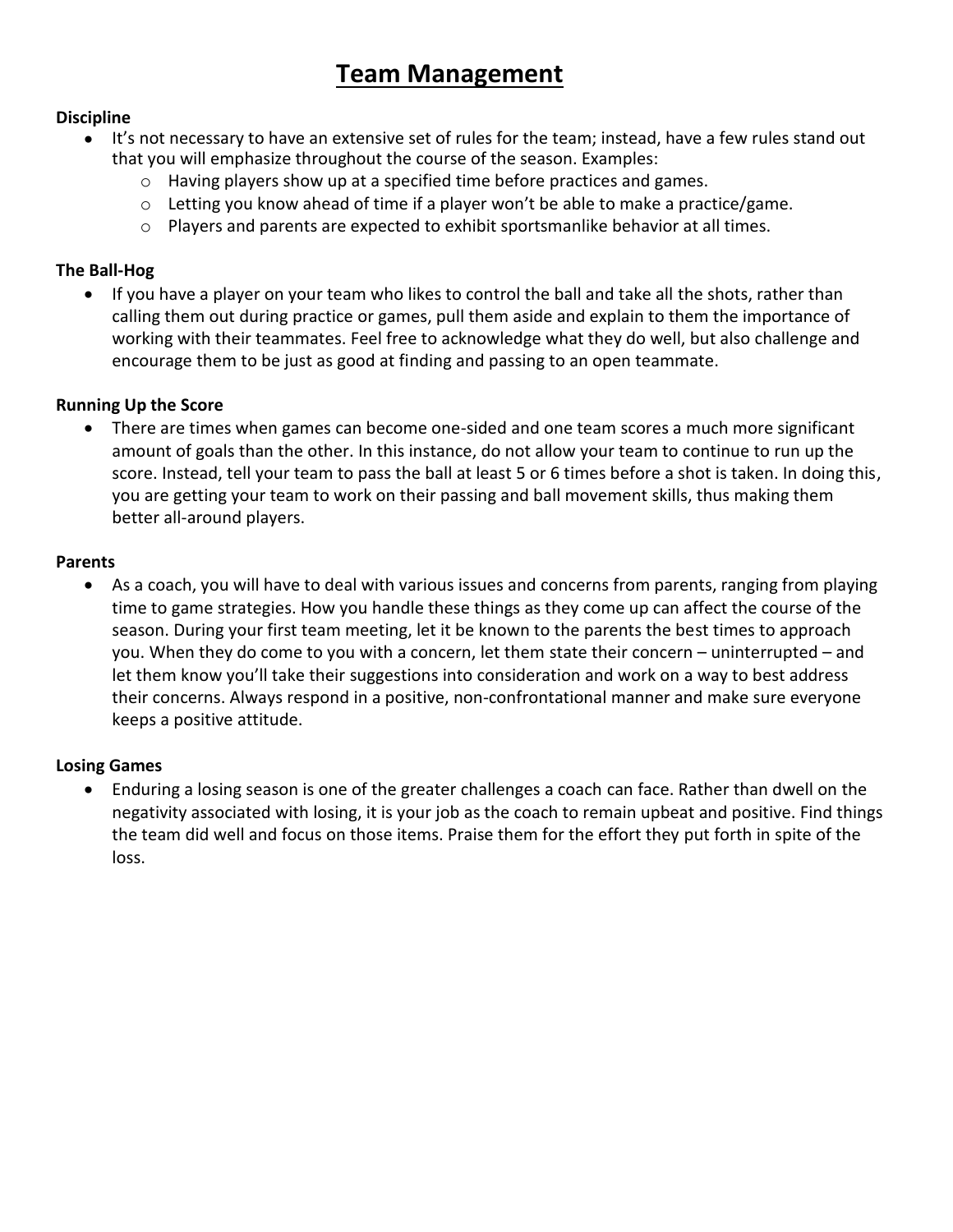## **Team Management**

#### **Discipline**

- It's not necessary to have an extensive set of rules for the team; instead, have a few rules stand out that you will emphasize throughout the course of the season. Examples:
	- $\circ$  Having players show up at a specified time before practices and games.
	- $\circ$  Letting you know ahead of time if a player won't be able to make a practice/game.
	- $\circ$  Players and parents are expected to exhibit sportsmanlike behavior at all times.

#### **The Ball-Hog**

• If you have a player on your team who likes to control the ball and take all the shots, rather than calling them out during practice or games, pull them aside and explain to them the importance of working with their teammates. Feel free to acknowledge what they do well, but also challenge and encourage them to be just as good at finding and passing to an open teammate.

#### **Running Up the Score**

• There are times when games can become one-sided and one team scores a much more significant amount of goals than the other. In this instance, do not allow your team to continue to run up the score. Instead, tell your team to pass the ball at least 5 or 6 times before a shot is taken. In doing this, you are getting your team to work on their passing and ball movement skills, thus making them better all-around players.

#### **Parents**

• As a coach, you will have to deal with various issues and concerns from parents, ranging from playing time to game strategies. How you handle these things as they come up can affect the course of the season. During your first team meeting, let it be known to the parents the best times to approach you. When they do come to you with a concern, let them state their concern – uninterrupted – and let them know you'll take their suggestions into consideration and work on a way to best address their concerns. Always respond in a positive, non-confrontational manner and make sure everyone keeps a positive attitude.

#### **Losing Games**

• Enduring a losing season is one of the greater challenges a coach can face. Rather than dwell on the negativity associated with losing, it is your job as the coach to remain upbeat and positive. Find things the team did well and focus on those items. Praise them for the effort they put forth in spite of the loss.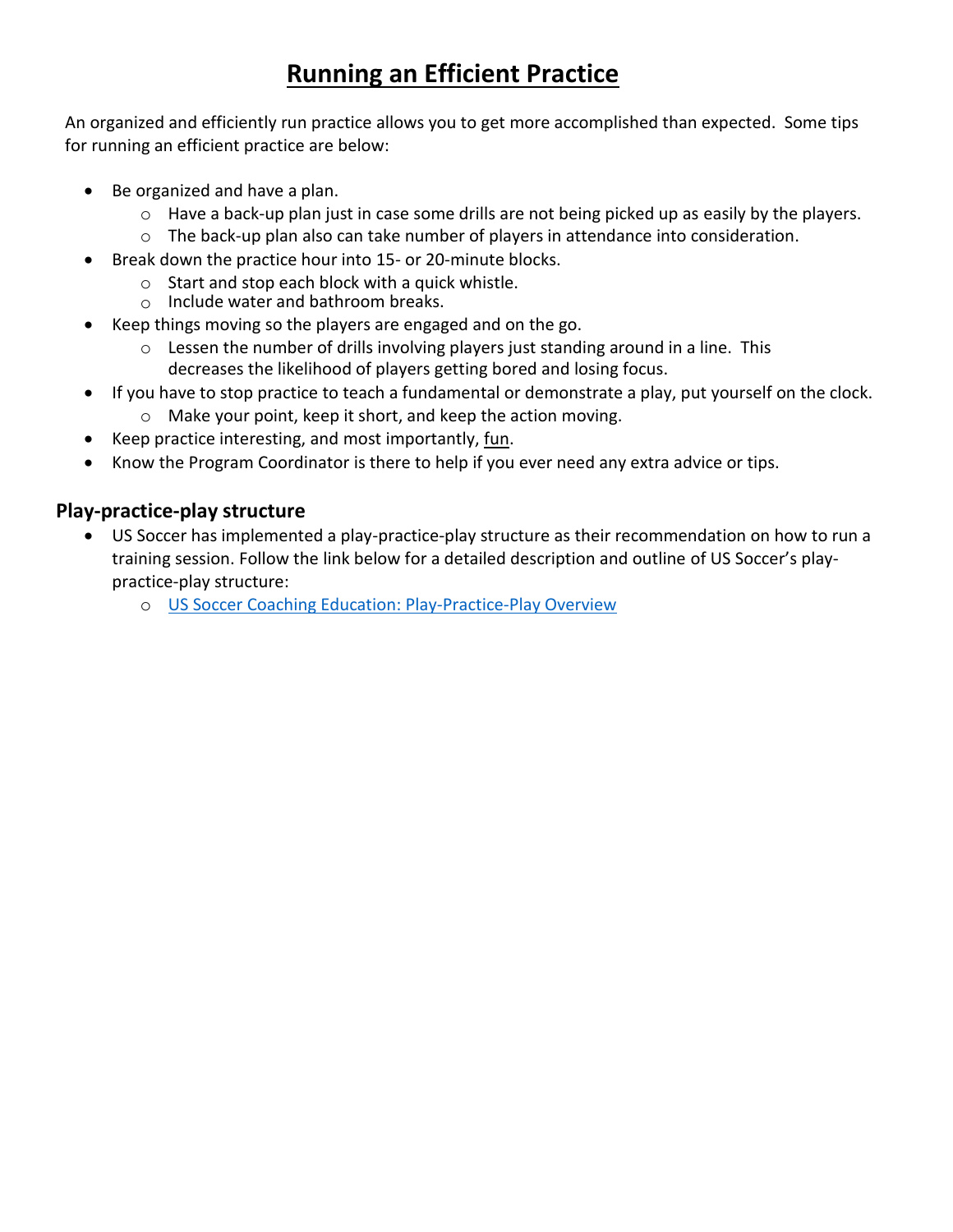# **Running an Efficient Practice**

An organized and efficiently run practice allows you to get more accomplished than expected. Some tips for running an efficient practice are below:

- Be organized and have a plan.
	- o Have a back-up plan just in case some drills are not being picked up as easily by the players.
	- $\circ$  The back-up plan also can take number of players in attendance into consideration.
- Break down the practice hour into 15- or 20-minute blocks.
	- o Start and stop each block with a quick whistle.
	- o Include water and bathroom breaks.
- Keep things moving so the players are engaged and on the go.
	- $\circ$  Lessen the number of drills involving players just standing around in a line. This decreases the likelihood of players getting bored and losing focus.
- If you have to stop practice to teach a fundamental or demonstrate a play, put yourself on the clock.
	- o Make your point, keep it short, and keep the action moving.
- Keep practice interesting, and most importantly, fun.
- Know the Program Coordinator is there to help if you ever need any extra advice or tips.

#### **Play-practice-play structure**

- US Soccer has implemented a play-practice-play structure as their recommendation on how to run a training session. Follow the link below for a detailed description and outline of US Soccer's playpractice-play structure:
	- o [US Soccer Coaching Education: Play-Practice-Play Overview](https://www.mayouthsoccer.org/assets/61/6/what_is_play-practice-play.pdf)